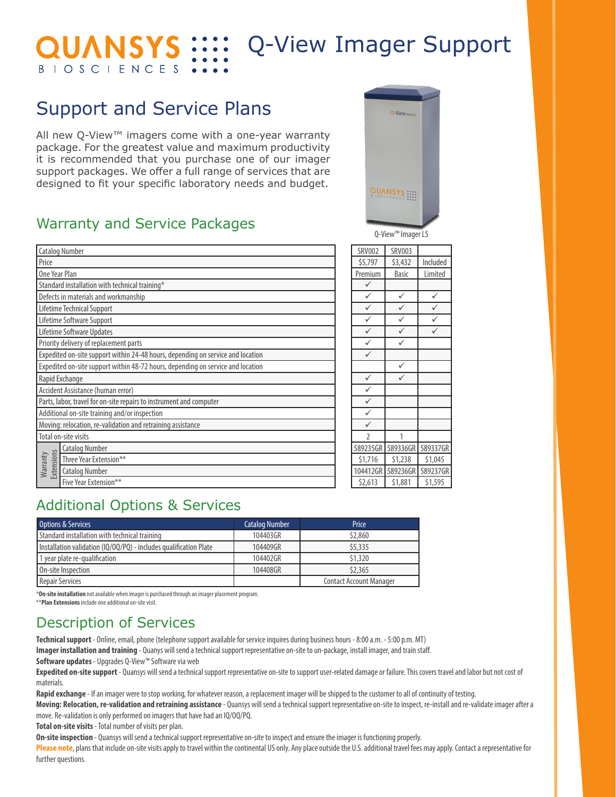#### Q-View Imager Support **QUANSYS :::: BIOSCIENCES**

## Support and Service Plans

All new Q-View™ imagers come with a one-year warranty package. For the greatest value and maximum productivity it is recommended that you purchase one of our imager support packages. We offer a full range of services that are designed to fit your specific laboratory needs and budget.

#### Warranty and Service Packages

|                                                             | <b>Catalog Number</b>                                                           | <b>SRV002</b>  | <b>SRV003</b> |          |
|-------------------------------------------------------------|---------------------------------------------------------------------------------|----------------|---------------|----------|
| Price                                                       |                                                                                 | \$5,797        | \$3,432       | Included |
| One Year Plan                                               |                                                                                 |                | <b>Basic</b>  | Limited  |
|                                                             | Standard installation with technical training*                                  | ✓              |               |          |
|                                                             | Defects in materials and workmanship                                            | $\checkmark$   | ✓             | ✓        |
|                                                             | Lifetime Technical Support                                                      | $\checkmark$   | $\checkmark$  | ✓        |
|                                                             | Lifetime Software Support                                                       | $\checkmark$   | $\checkmark$  | ✓        |
|                                                             | Lifetime Software Updates                                                       | ✓              | ✓             | ✓        |
|                                                             | Priority delivery of replacement parts                                          | $\checkmark$   | $\checkmark$  |          |
|                                                             | Expedited on-site support within 24-48 hours, depending on service and location | $\checkmark$   |               |          |
|                                                             | Expedited on-site support within 48-72 hours, depending on service and location |                | $\checkmark$  |          |
| Rapid Exchange                                              |                                                                                 |                | ✓             |          |
|                                                             | Accident Assistance (human error)                                               | $\checkmark$   |               |          |
|                                                             | Parts, labor, travel for on-site repairs to instrument and computer             | $\checkmark$   |               |          |
| Additional on-site training and/or inspection               |                                                                                 |                |               |          |
| Moving: relocation, re-validation and retraining assistance |                                                                                 |                |               |          |
| Total on-site visits                                        |                                                                                 | $\mathfrak{I}$ | 1             |          |
|                                                             | <b>Catalog Number</b>                                                           | 589235GR       | 589336GR      | 589337GR |
| <b>Extensions</b><br>Warranty                               | Three Year Extension**                                                          | \$1,716        | \$1,238       | \$1,045  |
|                                                             | <b>Catalog Number</b>                                                           | 104412GR       | 589236GR      | 589237GR |
|                                                             | Five Year Extension**                                                           | \$2,613        | \$1,881       | \$1,595  |
|                                                             |                                                                                 |                |               |          |



Q-View™ Imager LS

| <b>SRV002</b> | <b>SRV003</b> |          |
|---------------|---------------|----------|
| \$5,797       | \$3,432       | Included |
| Premium       | <b>Basic</b>  | Limited  |
|               |               |          |
|               |               |          |
|               |               |          |
|               |               |          |
|               |               |          |
|               |               |          |
|               |               |          |
|               |               |          |
|               |               |          |
|               |               |          |
|               |               |          |
|               |               |          |
|               |               |          |
|               | 1             |          |
| 589235GR      | 589336GR      | 589337GR |
| \$1,716       | \$1,238       | \$1,045  |
| 104412GR      | 589236GR      | 589237GR |
| 57613         | \$1881        | \$1595   |

#### Additional Options & Services

| Options & Services                                                | <b>Catalog Number</b> | Price                          |
|-------------------------------------------------------------------|-----------------------|--------------------------------|
| Standard installation with technical training                     | 104403GR              | \$2,860                        |
| Installation validation (IQ/OQ/PQ) - includes qualification Plate | 104409GR              | \$5,335                        |
| 1 year plate re-qualification                                     | 104402GR              | \$1,320                        |
| On-site Inspection                                                | 104408GR              | \$2,365                        |
| Repair Services                                                   |                       | <b>Contact Account Manager</b> |

\***On-site installation** not available when imager is purchased through an imager placement program.

\*\***Plan Extensions** include one additional on-site visit.

Description of Services

**Technical support** - Online, email, phone (telephone support available for service inquires during business hours - 8:00 a.m. - 5:00 p.m. MT)

**Imager installation and training** - Quanys will send a technical support representative on-site to un-package, install imager, and train staff.

**Software updates** - Upgrades Q-View™ Software via web

**Expedited on-site support** - Quansys will send a technical support representative on-site to support user-related damage or failure. This covers travel and labor but not cost of materials.

**Rapid exchange** - If an imager were to stop working, for whatever reason, a replacement imager will be shipped to the customer to all of continuity of testing.

**Moving: Relocation, re-validation and retraining assistance** - Quansys will send a technical support representative on-site to inspect, re-install and re-validate imager after a move. Re-validation is only performed on imagers that have had an IQ/OQ/PQ.

**Total on-site visits** - Total number of visits per plan.

**On-site inspection** - Quansys will send a technical support representative on-site to inspect and ensure the imager is functioning properly.

Please note, plans that include on-site visits apply to travel within the continental US only. Any place outside the U.S. additional travel fees may apply. Contact a representative for further questions.